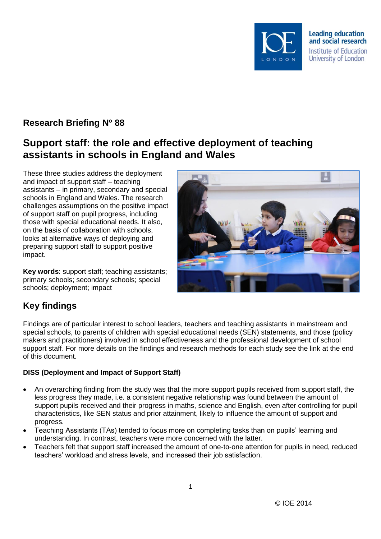

# **Research Briefing Nº 88**

# **Support staff: the role and effective deployment of teaching assistants in schools in England and Wales**

These three studies address the deployment and impact of support staff – teaching assistants – in primary, secondary and special schools in England and Wales. The research challenges assumptions on the positive impact of support staff on pupil progress, including those with special educational needs. It also, on the basis of collaboration with schools, looks at alternative ways of deploying and preparing support staff to support positive impact.

**Key words**: support staff; teaching assistants; primary schools; secondary schools; special schools; deployment; impact



# **Key findings**

Findings are of particular interest to school leaders, teachers and teaching assistants in mainstream and special schools, to parents of children with special educational needs (SEN) statements, and those (policy makers and practitioners) involved in school effectiveness and the professional development of school support staff. For more details on the findings and research methods for each study see the link at the end of this document.

#### **DISS (Deployment and Impact of Support Staff)**

- An overarching finding from the study was that the more support pupils received from support staff, the less progress they made, i.e. a consistent negative relationship was found between the amount of support pupils received and their progress in maths, science and English, even after controlling for pupil characteristics, like SEN status and prior attainment, likely to influence the amount of support and progress.
- Teaching Assistants (TAs) tended to focus more on completing tasks than on pupils' learning and understanding. In contrast, teachers were more concerned with the latter.
- Teachers felt that support staff increased the amount of one-to-one attention for pupils in need, reduced teachers' workload and stress levels, and increased their job satisfaction.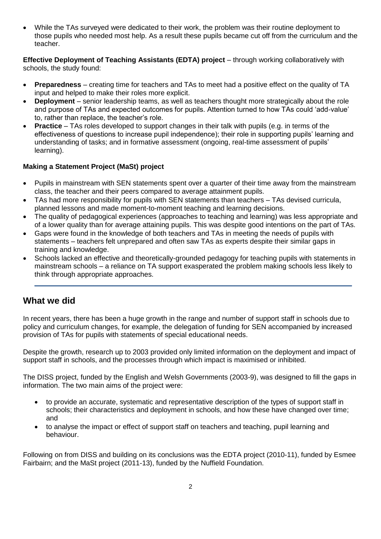While the TAs surveyed were dedicated to their work, the problem was their routine deployment to those pupils who needed most help. As a result these pupils became cut off from the curriculum and the teacher.

**Effective Deployment of Teaching Assistants (EDTA) project** – through working collaboratively with schools, the study found:

- **Preparedness** creating time for teachers and TAs to meet had a positive effect on the quality of TA input and helped to make their roles more explicit.
- **Deployment**  senior leadership teams, as well as teachers thought more strategically about the role and purpose of TAs and expected outcomes for pupils. Attention turned to how TAs could 'add-value' to, rather than replace, the teacher's role.
- **Practice**  TAs roles developed to support changes in their talk with pupils (e.g. in terms of the effectiveness of questions to increase pupil independence); their role in supporting pupils' learning and understanding of tasks; and in formative assessment (ongoing, real-time assessment of pupils' learning).

#### **Making a Statement Project (MaSt) project**

- Pupils in mainstream with SEN statements spent over a quarter of their time away from the mainstream class, the teacher and their peers compared to average attainment pupils.
- TAs had more responsibility for pupils with SEN statements than teachers TAs devised curricula, planned lessons and made moment-to-moment teaching and learning decisions.
- The quality of pedagogical experiences (approaches to teaching and learning) was less appropriate and of a lower quality than for average attaining pupils. This was despite good intentions on the part of TAs.
- Gaps were found in the knowledge of both teachers and TAs in meeting the needs of pupils with statements – teachers felt unprepared and often saw TAs as experts despite their similar gaps in training and knowledge.
- Schools lacked an effective and theoretically-grounded pedagogy for teaching pupils with statements in mainstream schools – a reliance on TA support exasperated the problem making schools less likely to think through appropriate approaches.

\_\_\_\_\_\_\_\_\_\_\_\_\_\_\_\_\_\_\_\_\_\_\_\_\_\_\_\_\_\_\_\_\_\_\_\_\_\_\_\_\_\_\_\_\_\_\_\_\_\_\_\_\_\_\_\_\_\_\_\_\_\_\_\_\_\_\_\_\_\_\_\_\_\_\_\_\_\_\_\_\_

### **What we did**

In recent years, there has been a huge growth in the range and number of support staff in schools due to policy and curriculum changes, for example, the delegation of funding for SEN accompanied by increased provision of TAs for pupils with statements of special educational needs.

Despite the growth, research up to 2003 provided only limited information on the deployment and impact of support staff in schools, and the processes through which impact is maximised or inhibited.

The DISS project, funded by the English and Welsh Governments (2003-9), was designed to fill the gaps in information. The two main aims of the project were:

- to provide an accurate, systematic and representative description of the types of support staff in schools; their characteristics and deployment in schools, and how these have changed over time; and
- to analyse the impact or effect of support staff on teachers and teaching, pupil learning and behaviour.

Following on from DISS and building on its conclusions was the EDTA project (2010-11), funded by Esmee Fairbairn; and the MaSt project (2011-13), funded by the Nuffield Foundation.